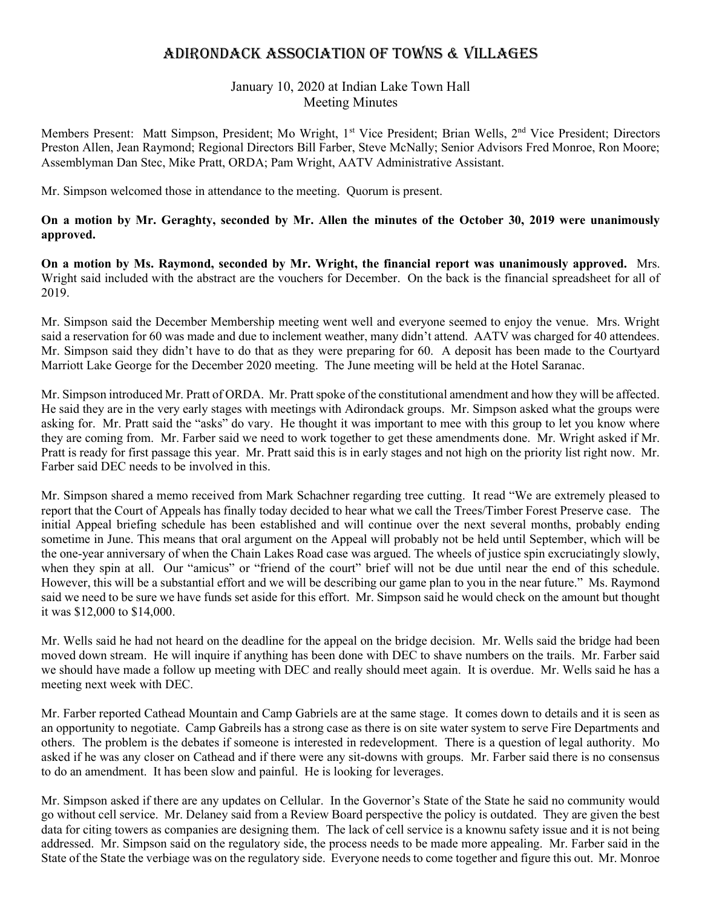## AdirondAck AssociAtion of towns & VillAges

January 10, 2020 at Indian Lake Town Hall Meeting Minutes

Members Present: Matt Simpson, President; Mo Wright, 1<sup>st</sup> Vice President; Brian Wells, 2<sup>nd</sup> Vice President; Directors Preston Allen, Jean Raymond; Regional Directors Bill Farber, Steve McNally; Senior Advisors Fred Monroe, Ron Moore; Assemblyman Dan Stec, Mike Pratt, ORDA; Pam Wright, AATV Administrative Assistant.

Mr. Simpson welcomed those in attendance to the meeting. Quorum is present.

On a motion by Mr. Geraghty, seconded by Mr. Allen the minutes of the October 30, 2019 were unanimously approved.

On a motion by Ms. Raymond, seconded by Mr. Wright, the financial report was unanimously approved. Mrs. Wright said included with the abstract are the vouchers for December. On the back is the financial spreadsheet for all of 2019.

Mr. Simpson said the December Membership meeting went well and everyone seemed to enjoy the venue. Mrs. Wright said a reservation for 60 was made and due to inclement weather, many didn't attend. AATV was charged for 40 attendees. Mr. Simpson said they didn't have to do that as they were preparing for 60. A deposit has been made to the Courtyard Marriott Lake George for the December 2020 meeting. The June meeting will be held at the Hotel Saranac.

Mr. Simpson introduced Mr. Pratt of ORDA. Mr. Pratt spoke of the constitutional amendment and how they will be affected. He said they are in the very early stages with meetings with Adirondack groups. Mr. Simpson asked what the groups were asking for. Mr. Pratt said the "asks" do vary. He thought it was important to mee with this group to let you know where they are coming from. Mr. Farber said we need to work together to get these amendments done. Mr. Wright asked if Mr. Pratt is ready for first passage this year. Mr. Pratt said this is in early stages and not high on the priority list right now. Mr. Farber said DEC needs to be involved in this.

Mr. Simpson shared a memo received from Mark Schachner regarding tree cutting. It read "We are extremely pleased to report that the Court of Appeals has finally today decided to hear what we call the Trees/Timber Forest Preserve case. The initial Appeal briefing schedule has been established and will continue over the next several months, probably ending sometime in June. This means that oral argument on the Appeal will probably not be held until September, which will be the one-year anniversary of when the Chain Lakes Road case was argued. The wheels of justice spin excruciatingly slowly, when they spin at all. Our "amicus" or "friend of the court" brief will not be due until near the end of this schedule. However, this will be a substantial effort and we will be describing our game plan to you in the near future." Ms. Raymond said we need to be sure we have funds set aside for this effort. Mr. Simpson said he would check on the amount but thought it was \$12,000 to \$14,000.

Mr. Wells said he had not heard on the deadline for the appeal on the bridge decision. Mr. Wells said the bridge had been moved down stream. He will inquire if anything has been done with DEC to shave numbers on the trails. Mr. Farber said we should have made a follow up meeting with DEC and really should meet again. It is overdue. Mr. Wells said he has a meeting next week with DEC.

Mr. Farber reported Cathead Mountain and Camp Gabriels are at the same stage. It comes down to details and it is seen as an opportunity to negotiate. Camp Gabreils has a strong case as there is on site water system to serve Fire Departments and others. The problem is the debates if someone is interested in redevelopment. There is a question of legal authority. Mo asked if he was any closer on Cathead and if there were any sit-downs with groups. Mr. Farber said there is no consensus to do an amendment. It has been slow and painful. He is looking for leverages.

Mr. Simpson asked if there are any updates on Cellular. In the Governor's State of the State he said no community would go without cell service. Mr. Delaney said from a Review Board perspective the policy is outdated. They are given the best data for citing towers as companies are designing them. The lack of cell service is a knownu safety issue and it is not being addressed. Mr. Simpson said on the regulatory side, the process needs to be made more appealing. Mr. Farber said in the State of the State the verbiage was on the regulatory side. Everyone needs to come together and figure this out. Mr. Monroe